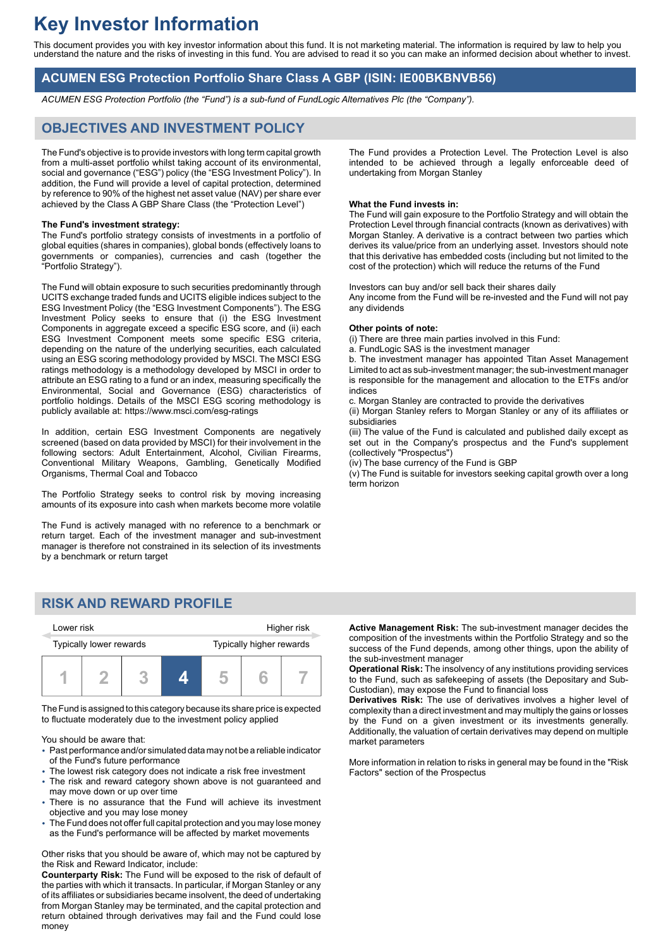# **Key Investor Information**

This document provides you with key investor information about this fund. It is not marketing material. The information is required by law to help you understand the nature and the risks of investing in this fund. You are advised to read it so you can make an informed decision about whether to invest.

## **ACUMEN ESG Protection Portfolio Share Class A GBP (ISIN: IE00BKBNVB56)**

*ACUMEN ESG Protection Portfolio (the "Fund") is a sub-fund of FundLogic Alternatives Plc (the "Company").*

## **OBJECTIVES AND INVESTMENT POLICY**

The Fund's objective is to provide investors with long term capital growth from a multi-asset portfolio whilst taking account of its environmental, social and governance ("ESG") policy (the "ESG Investment Policy"). In addition, the Fund will provide a level of capital protection, determined by reference to 90% of the highest net asset value (NAV) per share ever achieved by the Class A GBP Share Class (the "Protection Level")

#### **The Fund's investment strategy:**

The Fund's portfolio strategy consists of investments in a portfolio of global equities (shares in companies), global bonds (effectively loans to governments or companies), currencies and cash (together the "Portfolio Strategy").

The Fund will obtain exposure to such securities predominantly through UCITS exchange traded funds and UCITS eligible indices subject to the ESG Investment Policy (the "ESG Investment Components"). The ESG Investment Policy seeks to ensure that (i) the ESG Investment Components in aggregate exceed a specific ESG score, and (ii) each ESG Investment Component meets some specific ESG criteria, depending on the nature of the underlying securities, each calculated using an ESG scoring methodology provided by MSCI. The MSCI ESG ratings methodology is a methodology developed by MSCI in order to attribute an ESG rating to a fund or an index, measuring specifically the Environmental, Social and Governance (ESG) characteristics of portfolio holdings. Details of the MSCI ESG scoring methodology is publicly available at: https://www.msci.com/esg-ratings

In addition, certain ESG Investment Components are negatively screened (based on data provided by MSCI) for their involvement in the following sectors: Adult Entertainment, Alcohol, Civilian Firearms, Conventional Military Weapons, Gambling, Genetically Modified Organisms, Thermal Coal and Tobacco

The Portfolio Strategy seeks to control risk by moving increasing amounts of its exposure into cash when markets become more volatile

The Fund is actively managed with no reference to a benchmark or return target. Each of the investment manager and sub-investment manager is therefore not constrained in its selection of its investments by a benchmark or return target

## **RISK AND REWARD PROFILE**

| Lower risk              |  |  | Higher risk |                          |  |  |
|-------------------------|--|--|-------------|--------------------------|--|--|
| Typically lower rewards |  |  |             | Typically higher rewards |  |  |
|                         |  |  |             |                          |  |  |

The Fund is assigned to this category because its share price is expected to fluctuate moderately due to the investment policy applied

You should be aware that:

- 2 Past performance and/or simulated data may not be a reliable indicator of the Fund's future performance
- The lowest risk category does not indicate a risk free investment
- The risk and reward category shown above is not guaranteed and may move down or up over time
- There is no assurance that the Fund will achieve its investment objective and you may lose money
- The Fund does not offer full capital protection and you may lose money as the Fund's performance will be affected by market movements

Other risks that you should be aware of, which may not be captured by the Risk and Reward Indicator, include:

**Counterparty Risk:** The Fund will be exposed to the risk of default of the parties with which it transacts. In particular, if Morgan Stanley or any of its affiliates or subsidiaries became insolvent, the deed of undertaking from Morgan Stanley may be terminated, and the capital protection and return obtained through derivatives may fail and the Fund could lose money

The Fund provides a Protection Level. The Protection Level is also intended to be achieved through a legally enforceable deed of undertaking from Morgan Stanley

### **What the Fund invests in:**

The Fund will gain exposure to the Portfolio Strategy and will obtain the Protection Level through financial contracts (known as derivatives) with Morgan Stanley. A derivative is a contract between two parties which derives its value/price from an underlying asset. Investors should note that this derivative has embedded costs (including but not limited to the cost of the protection) which will reduce the returns of the Fund

Investors can buy and/or sell back their shares daily Any income from the Fund will be re-invested and the Fund will not pay any dividends

#### **Other points of note:**

(i) There are three main parties involved in this Fund:

a. FundLogic SAS is the investment manager

b. The investment manager has appointed Titan Asset Management Limited to act as sub-investment manager; the sub-investment manager is responsible for the management and allocation to the ETFs and/or indices

c. Morgan Stanley are contracted to provide the derivatives

(ii) Morgan Stanley refers to Morgan Stanley or any of its affiliates or subsidiaries

(iii) The value of the Fund is calculated and published daily except as set out in the Company's prospectus and the Fund's supplement (collectively "Prospectus")

(iv) The base currency of the Fund is GBP

(v) The Fund is suitable for investors seeking capital growth over a long term horizon

**Active Management Risk:** The sub-investment manager decides the composition of the investments within the Portfolio Strategy and so the success of the Fund depends, among other things, upon the ability of the sub-investment manager

**Operational Risk:** The insolvency of any institutions providing services to the Fund, such as safekeeping of assets (the Depositary and Sub-Custodian), may expose the Fund to financial loss

**Derivatives Risk:** The use of derivatives involves a higher level of complexity than a direct investment and may multiply the gains or losses by the Fund on a given investment or its investments generally. Additionally, the valuation of certain derivatives may depend on multiple market parameters

More information in relation to risks in general may be found in the "Risk Factors" section of the Prospectus